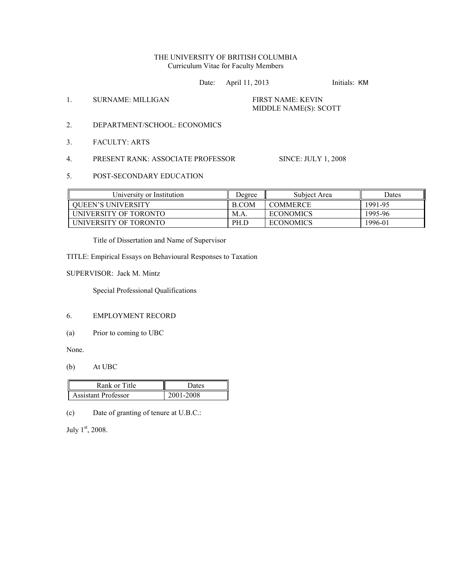# THE UNIVERSITY OF BRITISH COLUMBIA Curriculum Vitae for Faculty Members

Date: April 11, 2013 Initials: KM

1. SURNAME: MILLIGAN FIRST NAME: KEVIN

# MIDDLE NAME(S): SCOTT

- 2. DEPARTMENT/SCHOOL: ECONOMICS
- 3. FACULTY: ARTS
- 4. PRESENT RANK: ASSOCIATE PROFESSOR SINCE: JULY 1, 2008

5. POST-SECONDARY EDUCATION

| University or Institution | Degree       | Subject Area     | Dates   |
|---------------------------|--------------|------------------|---------|
| <b>OUEEN'S UNIVERSITY</b> | <b>B.COM</b> | <b>COMMERCE</b>  | 1991-95 |
| UNIVERSITY OF TORONTO     | M.A          | <b>ECONOMICS</b> | 1995-96 |
| UNIVERSITY OF TORONTO     | PH.D         | <b>ECONOMICS</b> | 1996-01 |

Title of Dissertation and Name of Supervisor

TITLE: Empirical Essays on Behavioural Responses to Taxation

SUPERVISOR: Jack M. Mintz

Special Professional Qualifications

## 6. EMPLOYMENT RECORD

(a) Prior to coming to UBC

None.

(b) At UBC

| Rank or Title       | Dates     |
|---------------------|-----------|
| Assistant Professor | 2001-2008 |

(c) Date of granting of tenure at U.B.C.:

July 1<sup>st</sup>, 2008.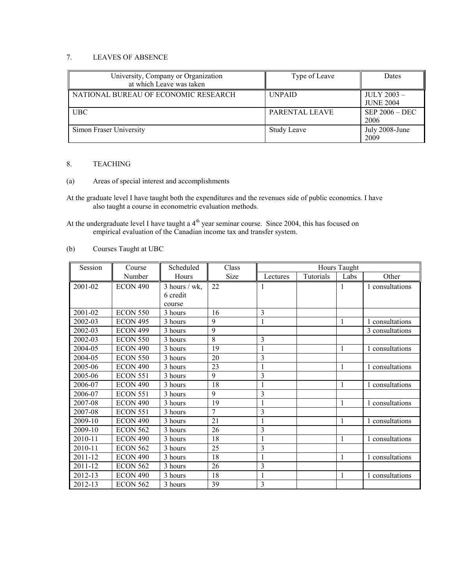# 7. LEAVES OF ABSENCE

| University, Company or Organization<br>at which Leave was taken | Type of Leave         | Dates                          |
|-----------------------------------------------------------------|-----------------------|--------------------------------|
| NATIONAL BUREAU OF ECONOMIC RESEARCH                            | <b>UNPAID</b>         | JULY 2003-<br><b>JUNE 2004</b> |
| <b>UBC</b>                                                      | <b>PARENTAL LEAVE</b> | $SEP 2006 - DEC$<br>2006       |
| Simon Fraser University                                         | <b>Study Leave</b>    | July 2008-June<br>2009         |

# 8. TEACHING

# (a) Areas of special interest and accomplishments

At the graduate level I have taught both the expenditures and the revenues side of public economics. I have also taught a course in econometric evaluation methods.

At the undergraduate level I have taught a  $4<sup>th</sup>$  year seminar course. Since 2004, this has focused on empirical evaluation of the Canadian income tax and transfer system.

# (b) Courses Taught at UBC

| Session | Course          | Scheduled       | Class | Hours Taught   |           |              |                 |
|---------|-----------------|-----------------|-------|----------------|-----------|--------------|-----------------|
|         | Number          | Hours           | Size  | Lectures       | Tutorials | Labs         | Other           |
| 2001-02 | <b>ECON 490</b> | $3$ hours / wk, | 22    |                |           | 1            | 1 consultations |
|         |                 | 6 credit        |       |                |           |              |                 |
|         |                 | course          |       |                |           |              |                 |
| 2001-02 | <b>ECON 550</b> | 3 hours         | 16    | 3              |           |              |                 |
| 2002-03 | <b>ECON 495</b> | 3 hours         | 9     | 1              |           | 1            | 1 consultations |
| 2002-03 | <b>ECON 499</b> | 3 hours         | 9     |                |           |              | 3 consultations |
| 2002-03 | <b>ECON 550</b> | 3 hours         | 8     | 3              |           |              |                 |
| 2004-05 | ECON 490        | 3 hours         | 19    |                |           | 1            | 1 consultations |
| 2004-05 | <b>ECON 550</b> | 3 hours         | 20    | 3              |           |              |                 |
| 2005-06 | <b>ECON 490</b> | 3 hours         | 23    |                |           | 1            | 1 consultations |
| 2005-06 | <b>ECON 551</b> | 3 hours         | 9     | 3              |           |              |                 |
| 2006-07 | <b>ECON 490</b> | 3 hours         | 18    |                |           | 1            | 1 consultations |
| 2006-07 | <b>ECON 551</b> | 3 hours         | 9     | $\overline{3}$ |           |              |                 |
| 2007-08 | <b>ECON 490</b> | 3 hours         | 19    |                |           | 1            | 1 consultations |
| 2007-08 | <b>ECON 551</b> | 3 hours         | 7     | 3              |           |              |                 |
| 2009-10 | <b>ECON 490</b> | 3 hours         | 21    |                |           | 1            | 1 consultations |
| 2009-10 | <b>ECON 562</b> | 3 hours         | 26    | 3              |           |              |                 |
| 2010-11 | <b>ECON 490</b> | 3 hours         | 18    |                |           | $\mathbf{1}$ | 1 consultations |
| 2010-11 | <b>ECON 562</b> | 3 hours         | 25    | 3              |           |              |                 |
| 2011-12 | <b>ECON 490</b> | 3 hours         | 18    |                |           | 1            | 1 consultations |
| 2011-12 | <b>ECON 562</b> | 3 hours         | 26    | 3              |           |              |                 |
| 2012-13 | ECON 490        | 3 hours         | 18    |                |           | 1            | 1 consultations |
| 2012-13 | ECON 562        | 3 hours         | 39    | 3              |           |              |                 |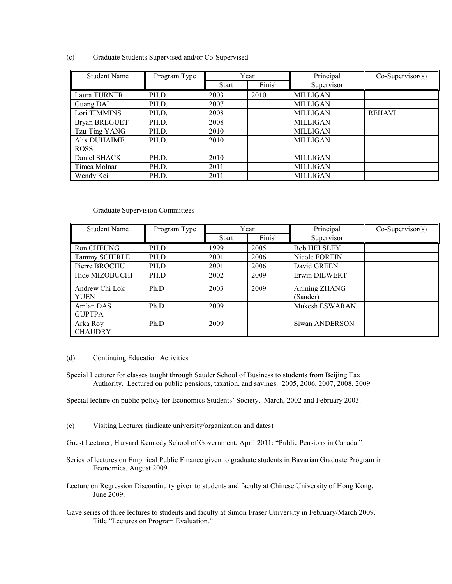|  | (c) | Graduate Students Supervised and/or Co-Supervised |  |
|--|-----|---------------------------------------------------|--|
|--|-----|---------------------------------------------------|--|

| <b>Student Name</b> | Program Type | Year         |        | Principal       | $Co-Supervisor(s)$ |
|---------------------|--------------|--------------|--------|-----------------|--------------------|
|                     |              | <b>Start</b> | Finish | Supervisor      |                    |
| Laura TURNER        | PH.D         | 2003         | 2010   | <b>MILLIGAN</b> |                    |
| Guang DAI           | PH.D.        | 2007         |        | <b>MILLIGAN</b> |                    |
| Lori TIMMINS        | PH.D.        | 2008         |        | <b>MILLIGAN</b> | <b>REHAVI</b>      |
| Bryan BREGUET       | PH.D.        | 2008         |        | <b>MILLIGAN</b> |                    |
| Tzu-Ting YANG       | PH.D.        | 2010         |        | <b>MILLIGAN</b> |                    |
| Alix DUHAIME        | PH.D.        | 2010         |        | <b>MILLIGAN</b> |                    |
| <b>ROSS</b>         |              |              |        |                 |                    |
| Daniel SHACK        | PH.D.        | 2010         |        | <b>MILLIGAN</b> |                    |
| Timea Molnar        | PH.D.        | 2011         |        | <b>MILLIGAN</b> |                    |
| Wendy Kei           | PH.D.        | 2011         |        | <b>MILLIGAN</b> |                    |

## Graduate Supervision Committees

| <b>Student Name</b>        | Program Type | Year         |        |                          |  | Principal | $Co-Supervisor(s)$ |
|----------------------------|--------------|--------------|--------|--------------------------|--|-----------|--------------------|
|                            |              | <b>Start</b> | Finish | Supervisor               |  |           |                    |
| Ron CHEUNG                 | PH.D         | 1999         | 2005   | <b>Bob HELSLEY</b>       |  |           |                    |
| Tammy SCHIRLE              | PH.D         | 2001         | 2006   | Nicole FORTIN            |  |           |                    |
| Pierre BROCHU              | PH.D         | 2001         | 2006   | David GREEN              |  |           |                    |
| Hide MIZOBUCHI             | PH.D         | 2002         | 2009   | Erwin DIEWERT            |  |           |                    |
| Andrew Chi Lok<br>YUEN     | Ph.D         | 2003         | 2009   | Anming ZHANG<br>(Sauder) |  |           |                    |
| Amlan DAS<br><b>GUPTPA</b> | Ph.D         | 2009         |        | Mukesh ESWARAN           |  |           |                    |
| Arka Roy<br><b>CHAUDRY</b> | Ph.D         | 2009         |        | Siwan ANDERSON           |  |           |                    |

#### (d) Continuing Education Activities

Special Lecturer for classes taught through Sauder School of Business to students from Beijing Tax Authority. Lectured on public pensions, taxation, and savings. 2005, 2006, 2007, 2008, 2009

Special lecture on public policy for Economics Students' Society. March, 2002 and February 2003.

- (e) Visiting Lecturer (indicate university/organization and dates)
- Guest Lecturer, Harvard Kennedy School of Government, April 2011: "Public Pensions in Canada."
- Series of lectures on Empirical Public Finance given to graduate students in Bavarian Graduate Program in Economics, August 2009.
- Lecture on Regression Discontinuity given to students and faculty at Chinese University of Hong Kong, June 2009.
- Gave series of three lectures to students and faculty at Simon Fraser University in February/March 2009. Title "Lectures on Program Evaluation."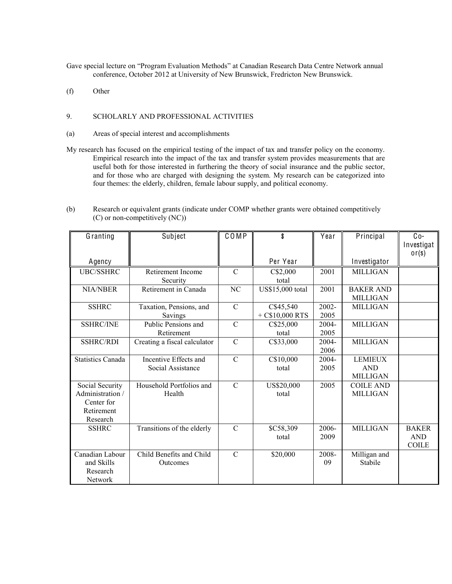Gave special lecture on "Program Evaluation Methods" at Canadian Research Data Centre Network annual conference, October 2012 at University of New Brunswick, Fredricton New Brunswick.

(f) Other

# 9. SCHOLARLY AND PROFESSIONAL ACTIVITIES

- (a) Areas of special interest and accomplishments
- My research has focused on the empirical testing of the impact of tax and transfer policy on the economy. Empirical research into the impact of the tax and transfer system provides measurements that are useful both for those interested in furthering the theory of social insurance and the public sector, and for those who are charged with designing the system. My research can be categorized into four themes: the elderly, children, female labour supply, and political economy.

| (b) | Research or equivalent grants (indicate under COMP whether grants were obtained competitively |
|-----|-----------------------------------------------------------------------------------------------|
|     | $(C)$ or non-competitively $(NC)$ )                                                           |

| Granting                                                                    | Subject                                    | COMP           | \$                            | Year             | Principal                                       | $Co-$<br>Investigat                        |
|-----------------------------------------------------------------------------|--------------------------------------------|----------------|-------------------------------|------------------|-------------------------------------------------|--------------------------------------------|
| Agency                                                                      |                                            |                | Per Year                      |                  | Investigator                                    | or(s)                                      |
| <b>UBC/SSHRC</b>                                                            | Retirement Income<br>Security              | $\mathcal{C}$  | C\$2,000<br>total             | 2001             | <b>MILLIGAN</b>                                 |                                            |
| <b>NIA/NBER</b>                                                             | Retirement in Canada                       | NC             | US\$15,000 total              | 2001             | <b>BAKER AND</b><br><b>MILLIGAN</b>             |                                            |
| <b>SSHRC</b>                                                                | Taxation, Pensions, and<br>Savings         | $\mathcal{C}$  | C\$45,540<br>$+ C$10,000 RTS$ | $2002 -$<br>2005 | <b>MILLIGAN</b>                                 |                                            |
| <b>SSHRC/INE</b>                                                            | Public Pensions and<br>Retirement          | $\mathcal{C}$  | C\$25,000<br>total            | 2004-<br>2005    | <b>MILLIGAN</b>                                 |                                            |
| <b>SSHRC/RDI</b>                                                            | Creating a fiscal calculator               | $\mathbf C$    | C\$33,000                     | 2004-<br>2006    | <b>MILLIGAN</b>                                 |                                            |
| <b>Statistics Canada</b>                                                    | Incentive Effects and<br>Social Assistance | $\mathcal{C}$  | C\$10,000<br>total            | 2004-<br>2005    | <b>LEMIEUX</b><br><b>AND</b><br><b>MILLIGAN</b> |                                            |
| Social Security<br>Administration /<br>Center for<br>Retirement<br>Research | Household Portfolios and<br>Health         | $\mathcal{C}$  | US\$20,000<br>total           | 2005             | <b>COILE AND</b><br><b>MILLIGAN</b>             |                                            |
| <b>SSHRC</b>                                                                | Transitions of the elderly                 | $\mathcal{C}$  | \$C58,309<br>total            | 2006-<br>2009    | <b>MILLIGAN</b>                                 | <b>BAKER</b><br><b>AND</b><br><b>COILE</b> |
| Canadian Labour<br>and Skills<br>Research<br><b>Network</b>                 | Child Benefits and Child<br>Outcomes       | $\overline{C}$ | \$20,000                      | 2008-<br>09      | Milligan and<br>Stabile                         |                                            |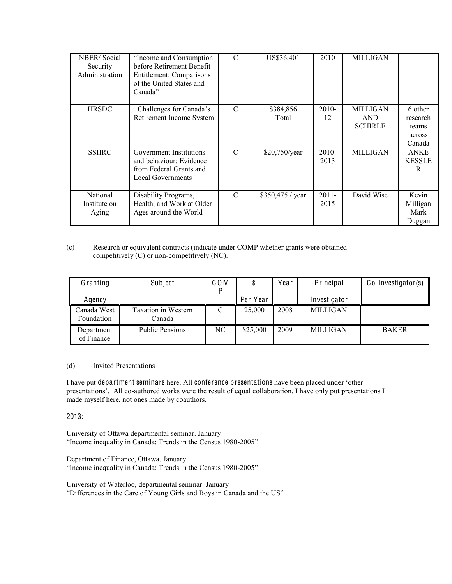| <b>NBER/Social</b><br>Security<br>Administration | "Income and Consumption"<br>before Retirement Benefit<br>Entitlement: Comparisons<br>of the United States and<br>Canada" | $\mathcal{C}$ | US\$36,401         | 2010             | <b>MILLIGAN</b>                                 |                                                  |
|--------------------------------------------------|--------------------------------------------------------------------------------------------------------------------------|---------------|--------------------|------------------|-------------------------------------------------|--------------------------------------------------|
| <b>HRSDC</b>                                     | Challenges for Canada's<br>Retirement Income System                                                                      | $\mathcal{C}$ | \$384,856<br>Total | $2010-$<br>12    | <b>MILLIGAN</b><br><b>AND</b><br><b>SCHIRLE</b> | 6 other<br>research<br>teams<br>across<br>Canada |
| <b>SSHRC</b>                                     | Government Institutions<br>and behaviour: Evidence<br>from Federal Grants and<br>Local Governments                       | $\mathcal{C}$ | \$20,750/year      | $2010-$<br>2013  | <b>MILLIGAN</b>                                 | <b>ANKE</b><br><b>KESSLE</b><br>R                |
| National<br>Institute on<br>Aging                | Disability Programs,<br>Health, and Work at Older<br>Ages around the World                                               | $\mathcal{C}$ | \$350,475 / year   | $2011 -$<br>2015 | David Wise                                      | Kevin<br>Milligan<br>Mark<br>Duggan              |

# (c) Research or equivalent contracts (indicate under COMP whether grants were obtained competitively (C) or non-competitively (NC).

| Granting                  | Subject                              | C O M |          | Year | Principal       | Co-Investigator(s) |
|---------------------------|--------------------------------------|-------|----------|------|-----------------|--------------------|
| Agency                    |                                      |       | Per Year |      | Investigator    |                    |
| Canada West<br>Foundation | <b>Taxation in Western</b><br>Canada |       | 25,000   | 2008 | <b>MILLIGAN</b> |                    |
| Department<br>of Finance  | <b>Public Pensions</b>               | NC    | \$25,000 | 2009 | <b>MILLIGAN</b> | <b>BAKER</b>       |

# (d) Invited Presentations

I have put department seminars here. All conference presentations have been placed under 'other presentations'. All co-authored works were the result of equal collaboration. I have only put presentations I made myself here, not ones made by coauthors.

2013:

University of Ottawa departmental seminar. January "Income inequality in Canada: Trends in the Census 1980-2005"

Department of Finance, Ottawa. January "Income inequality in Canada: Trends in the Census 1980-2005"

University of Waterloo, departmental seminar. January "Differences in the Care of Young Girls and Boys in Canada and the US"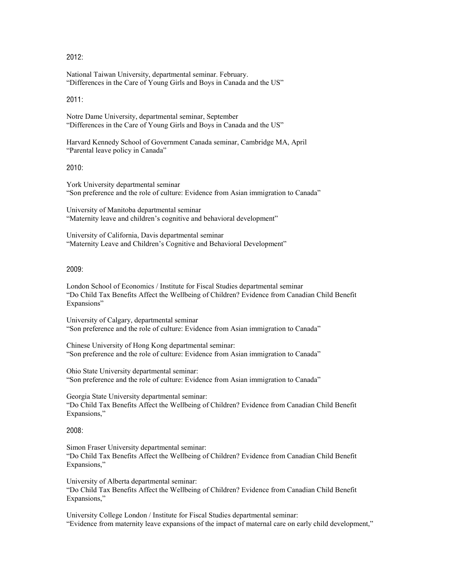# $2012$

National Taiwan University, departmental seminar. February. "Differences in the Care of Young Girls and Boys in Canada and the US"

#### 2011:

Notre Dame University, departmental seminar, September "Differences in the Care of Young Girls and Boys in Canada and the US"

Harvard Kennedy School of Government Canada seminar, Cambridge MA, April "Parental leave policy in Canada"

2010:

York University departmental seminar "Son preference and the role of culture: Evidence from Asian immigration to Canada"

University of Manitoba departmental seminar "Maternity leave and children's cognitive and behavioral development"

University of California, Davis departmental seminar "Maternity Leave and Children's Cognitive and Behavioral Development"

# 2009:

London School of Economics / Institute for Fiscal Studies departmental seminar ³'R&hild Tax Benefits Affect the Wellbeing of Children? Evidence from Canadian Child Benefit Expansions"

University of Calgary, departmental seminar "Son preference and the role of culture: Evidence from Asian immigration to Canada"

Chinese University of Hong Kong departmental seminar: "Son preference and the role of culture: Evidence from Asian immigration to Canada"

Ohio State University departmental seminar: "Son preference and the role of culture: Evidence from Asian immigration to Canada"

Georgia State University departmental seminar: "Do Child Tax Benefits Affect the Wellbeing of Children? Evidence from Canadian Child Benefit Expansions,"

2008:

Simon Fraser University departmental seminar: "Do Child Tax Benefits Affect the Wellbeing of Children? Evidence from Canadian Child Benefit Expansions,"

University of Alberta departmental seminar: "Do Child Tax Benefits Affect the Wellbeing of Children? Evidence from Canadian Child Benefit Expansions,"

University College London / Institute for Fiscal Studies departmental seminar: "Evidence from maternity leave expansions of the impact of maternal care on early child development,"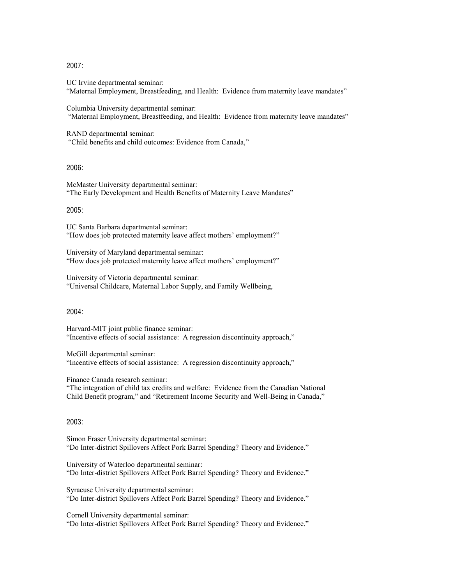# 2007:

UC Irvine departmental seminar: "Maternal Employment, Breastfeeding, and Health: Evidence from maternity leave mandates"

Columbia University departmental seminar: "Maternal Employment, Breastfeeding, and Health: Evidence from maternity leave mandates"

RAND departmental seminar: "Child benefits and child outcomes: Evidence from Canada,"

#### 2006:

McMaster University departmental seminar: "The Early Development and Health Benefits of Maternity Leave Mandates"

#### 2005:

UC Santa Barbara departmental seminar: "How does job protected maternity leave affect mothers' employment?"

University of Maryland departmental seminar: "How does job protected maternity leave affect mothers' employment?"

University of Victoria departmental seminar: "Universal Childcare, Maternal Labor Supply, and Family Wellbeing,

#### 2004:

Harvard-MIT joint public finance seminar: "Incentive effects of social assistance: A regression discontinuity approach,"

McGill departmental seminar: "Incentive effects of social assistance: A regression discontinuity approach,"

Finance Canada research seminar:

"The integration of child tax credits and welfare: Evidence from the Canadian National Child Benefit program," and "Retirement Income Security and Well-Being in Canada,"

## 2003:

Simon Fraser University departmental seminar: "Do Inter-district Spillovers Affect Pork Barrel Spending? Theory and Evidence."

University of Waterloo departmental seminar: "Do Inter-district Spillovers Affect Pork Barrel Spending? Theory and Evidence."

Syracuse University departmental seminar: "Do Inter-district Spillovers Affect Pork Barrel Spending? Theory and Evidence."

Cornell University departmental seminar: "Do Inter-district Spillovers Affect Pork Barrel Spending? Theory and Evidence."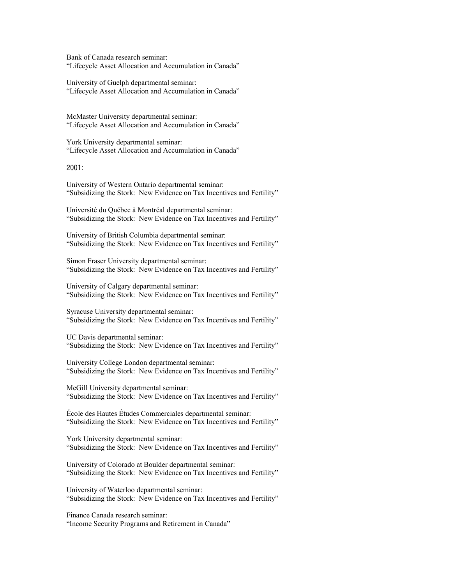Bank of Canada research seminar: "Lifecycle Asset Allocation and Accumulation in Canada"

University of Guelph departmental seminar: "Lifecycle Asset Allocation and Accumulation in Canada"

McMaster University departmental seminar: "Lifecycle Asset Allocation and Accumulation in Canada"

York University departmental seminar: "Lifecycle Asset Allocation and Accumulation in Canada"

2001:

University of Western Ontario departmental seminar: "Subsidizing the Stork: New Evidence on Tax Incentives and Fertility"

Université du Québec à Montréal departmental seminar: "Subsidizing the Stork: New Evidence on Tax Incentives and Fertility"

University of British Columbia departmental seminar: "Subsidizing the Stork: New Evidence on Tax Incentives and Fertility"

Simon Fraser University departmental seminar: "Subsidizing the Stork: New Evidence on Tax Incentives and Fertility"

University of Calgary departmental seminar: "Subsidizing the Stork: New Evidence on Tax Incentives and Fertility"

Syracuse University departmental seminar: "Subsidizing the Stork: New Evidence on Tax Incentives and Fertility"

UC Davis departmental seminar: "Subsidizing the Stork: New Evidence on Tax Incentives and Fertility"

University College London departmental seminar: "Subsidizing the Stork: New Evidence on Tax Incentives and Fertility"

McGill University departmental seminar: "Subsidizing the Stork: New Evidence on Tax Incentives and Fertility"

École des Hautes Études Commerciales departmental seminar: "Subsidizing the Stork: New Evidence on Tax Incentives and Fertility"

York University departmental seminar: "Subsidizing the Stork: New Evidence on Tax Incentives and Fertility"

University of Colorado at Boulder departmental seminar: "Subsidizing the Stork: New Evidence on Tax Incentives and Fertility"

University of Waterloo departmental seminar: "Subsidizing the Stork: New Evidence on Tax Incentives and Fertility"

Finance Canada research seminar: "Income Security Programs and Retirement in Canada"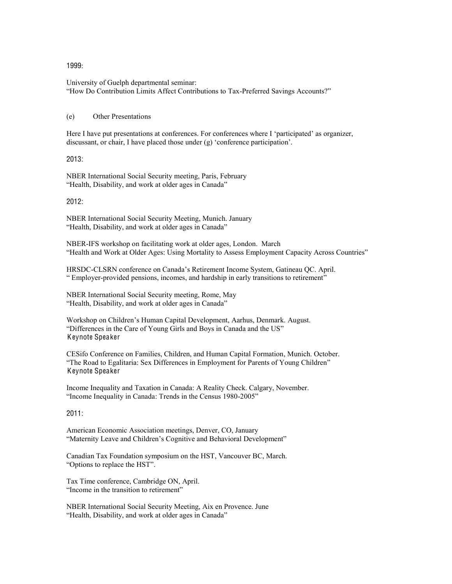#### 1999:

University of Guelph departmental seminar: "How Do Contribution Limits Affect Contributions to Tax-Preferred Savings Accounts?"

## (e) Other Presentations

Here I have put presentations at conferences. For conferences where I 'participated' as organizer, discussant, or chair, I have placed those under  $(g)$  'conference participation'.

2013:

NBER International Social Security meeting, Paris, February "Health, Disability, and work at older ages in Canada"

2012:

NBER International Social Security Meeting, Munich. January "Health, Disability, and work at older ages in Canada"

NBER-IFS workshop on facilitating work at older ages, London. March "Health and Work at Older Ages: Using Mortality to Assess Employment Capacity Across Countries"

HRSDC-CLSRN conference on Canada's Retirement Income System, Gatineau OC. April. ³ Employer-provided pensions, incomes, and hardship in early transitions to retirement´

NBER International Social Security meeting, Rome, May "Health, Disability, and work at older ages in Canada"

Workshop on Children's Human Capital Development, Aarhus, Denmark. August. "Differences in the Care of Young Girls and Boys in Canada and the US" Keynote Speaker

CESifo Conference on Families, Children, and Human Capital Formation, Munich. October. ³The Road to Egalitaria: Sex Differences in Employment for Parents of Young Children´ Keynote Speaker

Income Inequality and Taxation in Canada: A Reality Check. Calgary, November. "Income Inequality in Canada: Trends in the Census 1980-2005"

2011:

American Economic Association meetings, Denver, CO, January "Maternity Leave and Children's Cognitive and Behavioral Development"

Canadian Tax Foundation symposium on the HST, Vancouver BC, March. "Options to replace the HST".

Tax Time conference, Cambridge ON, April. "Income in the transition to retirement"

NBER International Social Security Meeting, Aix en Provence. June "Health, Disability, and work at older ages in Canada"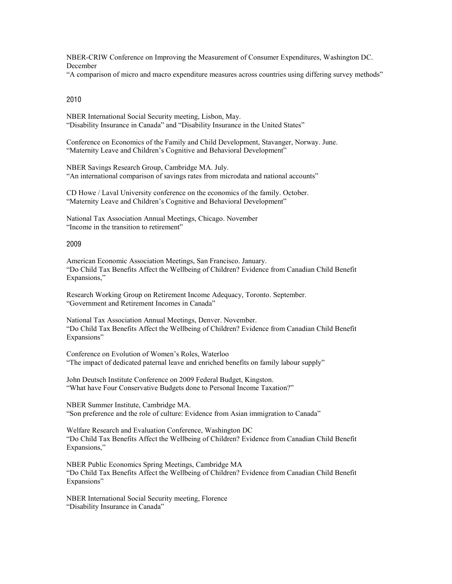NBER-CRIW Conference on Improving the Measurement of Consumer Expenditures, Washington DC. December

"A comparison of micro and macro expenditure measures across countries using differing survey methods"

## 2010

NBER International Social Security meeting, Lisbon, May. "Disability Insurance in Canada" and "Disability Insurance in the United States"

Conference on Economics of the Family and Child Development, Stavanger, Norway. June. "Maternity Leave and Children's Cognitive and Behavioral Development"

NBER Savings Research Group, Cambridge MA. July. "An international comparison of savings rates from microdata and national accounts"

CD Howe / Laval University conference on the economics of the family. October. "Maternity Leave and Children's Cognitive and Behavioral Development"

National Tax Association Annual Meetings, Chicago. November "Income in the transition to retirement"

# 2009

American Economic Association Meetings, San Francisco. January. "Do Child Tax Benefits Affect the Wellbeing of Children? Evidence from Canadian Child Benefit Expansions,"

Research Working Group on Retirement Income Adequacy, Toronto. September. "Government and Retirement Incomes in Canada"

National Tax Association Annual Meetings, Denver. November. "Do Child Tax Benefits Affect the Wellbeing of Children? Evidence from Canadian Child Benefit Expansions"

Conference on Evolution of Women's Roles, Waterloo "The impact of dedicated paternal leave and enriched benefits on family labour supply"

John Deutsch Institute Conference on 2009 Federal Budget, Kingston. "What have Four Conservative Budgets done to Personal Income Taxation?"

NBER Summer Institute, Cambridge MA. "Son preference and the role of culture: Evidence from Asian immigration to Canada"

Welfare Research and Evaluation Conference, Washington DC "Do Child Tax Benefits Affect the Wellbeing of Children? Evidence from Canadian Child Benefit Expansions."

NBER Public Economics Spring Meetings, Cambridge MA "Do Child Tax Benefits Affect the Wellbeing of Children? Evidence from Canadian Child Benefit Expansions"

NBER International Social Security meeting, Florence "Disability Insurance in Canada"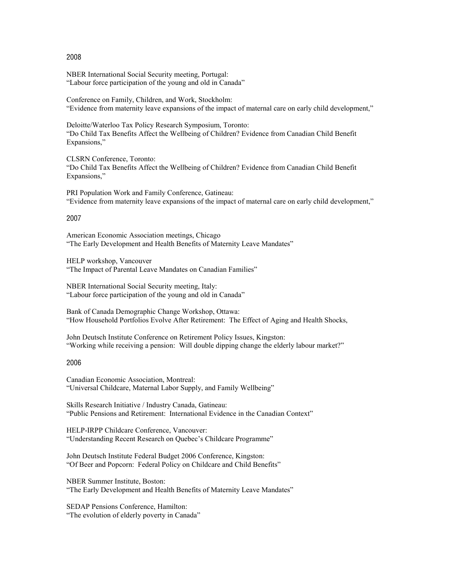#### 2008

NBER International Social Security meeting, Portugal: "Labour force participation of the young and old in Canada"

Conference on Family, Children, and Work, Stockholm: "Evidence from maternity leave expansions of the impact of maternal care on early child development,"

Deloitte/Waterloo Tax Policy Research Symposium, Toronto: "Do Child Tax Benefits Affect the Wellbeing of Children? Evidence from Canadian Child Benefit Expansions,"

CLSRN Conference, Toronto: "Do Child Tax Benefits Affect the Wellbeing of Children? Evidence from Canadian Child Benefit Expansions,"

PRI Population Work and Family Conference, Gatineau: "Evidence from maternity leave expansions of the impact of maternal care on early child development,"

# 2007

American Economic Association meetings, Chicago "The Early Development and Health Benefits of Maternity Leave Mandates"

HELP workshop, Vancouver "The Impact of Parental Leave Mandates on Canadian Families"

NBER International Social Security meeting, Italy: "Labour force participation of the young and old in Canada"

Bank of Canada Demographic Change Workshop, Ottawa: "How Household Portfolios Evolve After Retirement: The Effect of Aging and Health Shocks,

John Deutsch Institute Conference on Retirement Policy Issues, Kingston: Working while receiving a pension: Will double dipping change the elderly labour market?"

#### 2006

Canadian Economic Association, Montreal: "Universal Childcare, Maternal Labor Supply, and Family Wellbeing"

Skills Research Initiative / Industry Canada, Gatineau: "Public Pensions and Retirement: International Evidence in the Canadian Context"

HELP-IRPP Childcare Conference, Vancouver: "Understanding Recent Research on Quebec's Childcare Programme"

John Deutsch Institute Federal Budget 2006 Conference, Kingston: "Of Beer and Popcorn: Federal Policy on Childcare and Child Benefits"

NBER Summer Institute, Boston: "The Early Development and Health Benefits of Maternity Leave Mandates"

SEDAP Pensions Conference, Hamilton: "The evolution of elderly poverty in Canada"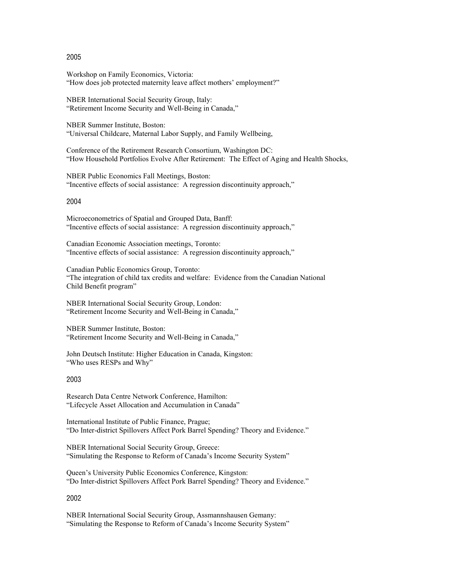#### 2005

Workshop on Family Economics, Victoria: "How does job protected maternity leave affect mothers' employment?"

NBER International Social Security Group, Italy: "Retirement Income Security and Well-Being in Canada,"

NBER Summer Institute, Boston: "Universal Childcare, Maternal Labor Supply, and Family Wellbeing,

Conference of the Retirement Research Consortium, Washington DC: "How Household Portfolios Evolve After Retirement: The Effect of Aging and Health Shocks,

NBER Public Economics Fall Meetings, Boston: "Incentive effects of social assistance: A regression discontinuity approach,"

#### 2004

Microeconometrics of Spatial and Grouped Data, Banff: "Incentive effects of social assistance: A regression discontinuity approach,"

Canadian Economic Association meetings, Toronto: "Incentive effects of social assistance: A regression discontinuity approach,"

Canadian Public Economics Group, Toronto: "The integration of child tax credits and welfare: Evidence from the Canadian National Child Benefit program"

NBER International Social Security Group, London: "Retirement Income Security and Well-Being in Canada,"

NBER Summer Institute, Boston: "Retirement Income Security and Well-Being in Canada,"

John Deutsch Institute: Higher Education in Canada, Kingston: "Who uses RESPs and Why"

#### 2003

Research Data Centre Network Conference, Hamilton: "Lifecycle Asset Allocation and Accumulation in Canada"

International Institute of Public Finance, Prague; "Do Inter-district Spillovers Affect Pork Barrel Spending? Theory and Evidence."

NBER International Social Security Group, Greece: "Simulating the Response to Reform of Canada's Income Security System"

Queen's University Public Economics Conference, Kingston: "Do Inter-district Spillovers Affect Pork Barrel Spending? Theory and Evidence."

2002

NBER International Social Security Group, Assmannshausen Gemany: "Simulating the Response to Reform of Canada's Income Security System"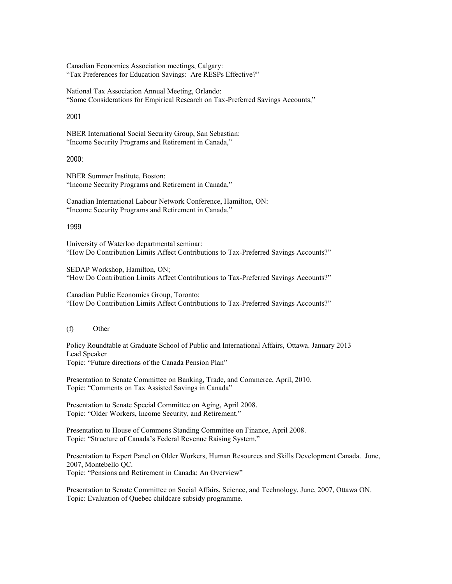Canadian Economics Association meetings, Calgary: "Tax Preferences for Education Savings: Are RESPs Effective?"

National Tax Association Annual Meeting, Orlando: "Some Considerations for Empirical Research on Tax-Preferred Savings Accounts,"

#### 2001

NBER International Social Security Group, San Sebastian: "Income Security Programs and Retirement in Canada,"

# 2000:

NBER Summer Institute, Boston: "Income Security Programs and Retirement in Canada,"

Canadian International Labour Network Conference, Hamilton, ON: "Income Security Programs and Retirement in Canada,"

# 1999

University of Waterloo departmental seminar: "How Do Contribution Limits Affect Contributions to Tax-Preferred Savings Accounts?"

SEDAP Workshop, Hamilton, ON; "How Do Contribution Limits Affect Contributions to Tax-Preferred Savings Accounts?"

Canadian Public Economics Group, Toronto: "How Do Contribution Limits Affect Contributions to Tax-Preferred Savings Accounts?"

#### (f) Other

Policy Roundtable at Graduate School of Public and International Affairs, Ottawa. January 2013 Lead Speaker Topic: "Future directions of the Canada Pension Plan"

Presentation to Senate Committee on Banking, Trade, and Commerce, April, 2010. Topic: "Comments on Tax Assisted Savings in Canada"

Presentation to Senate Special Committee on Aging, April 2008. Topic: "Older Workers, Income Security, and Retirement."

Presentation to House of Commons Standing Committee on Finance, April 2008. Topic: "Structure of Canada's Federal Revenue Raising System."

Presentation to Expert Panel on Older Workers, Human Resources and Skills Development Canada. June, 2007, Montebello QC. Topic: "Pensions and Retirement in Canada: An Overview"

Presentation to Senate Committee on Social Affairs, Science, and Technology, June, 2007, Ottawa ON. Topic: Evaluation of Quebec childcare subsidy programme.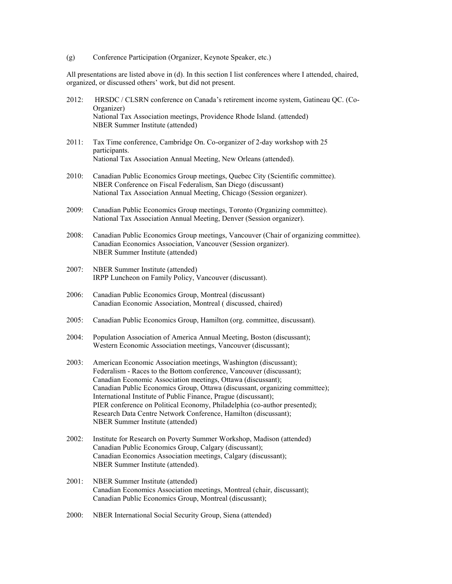(g) Conference Participation (Organizer, Keynote Speaker, etc.)

All presentations are listed above in (d). In this section I list conferences where I attended, chaired, organized, or discussed others' work, but did not present.

- 2012: HRSDC / CLSRN conference on Canada's retirement income system, Gatineau QC. (Co-Organizer) National Tax Association meetings, Providence Rhode Island. (attended) NBER Summer Institute (attended)
- 2011: Tax Time conference, Cambridge On. Co-organizer of 2-day workshop with 25 participants. National Tax Association Annual Meeting, New Orleans (attended).
- 2010: Canadian Public Economics Group meetings, Quebec City (Scientific committee). NBER Conference on Fiscal Federalism, San Diego (discussant) National Tax Association Annual Meeting, Chicago (Session organizer).
- 2009: Canadian Public Economics Group meetings, Toronto (Organizing committee). National Tax Association Annual Meeting, Denver (Session organizer).
- 2008: Canadian Public Economics Group meetings, Vancouver (Chair of organizing committee). Canadian Economics Association, Vancouver (Session organizer). NBER Summer Institute (attended)
- 2007: NBER Summer Institute (attended) IRPP Luncheon on Family Policy, Vancouver (discussant).
- 2006: Canadian Public Economics Group, Montreal (discussant) Canadian Economic Association, Montreal ( discussed, chaired)
- 2005: Canadian Public Economics Group, Hamilton (org. committee, discussant).
- 2004: Population Association of America Annual Meeting, Boston (discussant); Western Economic Association meetings, Vancouver (discussant);
- 2003: American Economic Association meetings, Washington (discussant); Federalism - Races to the Bottom conference, Vancouver (discussant); Canadian Economic Association meetings, Ottawa (discussant); Canadian Public Economics Group, Ottawa (discussant, organizing committee); International Institute of Public Finance, Prague (discussant); PIER conference on Political Economy, Philadelphia (co-author presented); Research Data Centre Network Conference, Hamilton (discussant); NBER Summer Institute (attended)
- 2002: Institute for Research on Poverty Summer Workshop, Madison (attended) Canadian Public Economics Group, Calgary (discussant); Canadian Economics Association meetings, Calgary (discussant); NBER Summer Institute (attended).
- 2001: NBER Summer Institute (attended) Canadian Economics Association meetings, Montreal (chair, discussant); Canadian Public Economics Group, Montreal (discussant);
- 2000: NBER International Social Security Group, Siena (attended)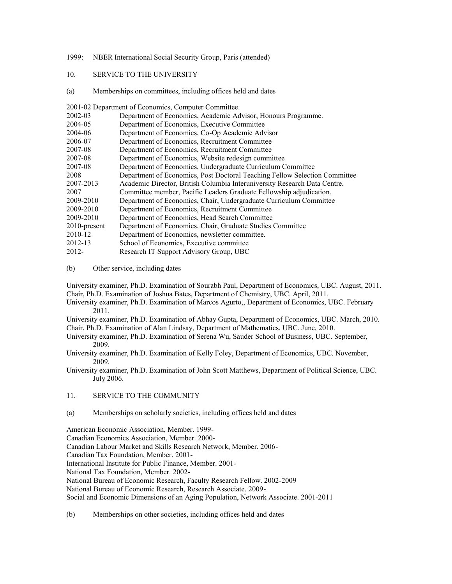- 1999: NBER International Social Security Group, Paris (attended)
- 10. SERVICE TO THE UNIVERSITY
- (a) Memberships on committees, including offices held and dates

2001-02 Department of Economics, Computer Committee.

| 2002-03      | Department of Economics, Academic Advisor, Honours Programme.              |
|--------------|----------------------------------------------------------------------------|
| 2004-05      | Department of Economics, Executive Committee                               |
| 2004-06      | Department of Economics, Co-Op Academic Advisor                            |
| 2006-07      | Department of Economics, Recruitment Committee                             |
| 2007-08      | Department of Economics, Recruitment Committee                             |
| 2007-08      | Department of Economics, Website redesign committee                        |
| 2007-08      | Department of Economics, Undergraduate Curriculum Committee                |
| 2008         | Department of Economics, Post Doctoral Teaching Fellow Selection Committee |
| 2007-2013    | Academic Director, British Columbia Interuniversity Research Data Centre.  |
| 2007         | Committee member, Pacific Leaders Graduate Fellowship adjudication.        |
| 2009-2010    | Department of Economics, Chair, Undergraduate Curriculum Committee         |
| 2009-2010    | Department of Economics, Recruitment Committee                             |
| 2009-2010    | Department of Economics, Head Search Committee                             |
| 2010-present | Department of Economics, Chair, Graduate Studies Committee                 |
| 2010-12      | Department of Economics, newsletter committee.                             |
| 2012-13      | School of Economics, Executive committee                                   |
| 2012-        | Research IT Support Advisory Group, UBC                                    |

(b) Other service, including dates

University examiner, Ph.D. Examination of Sourabh Paul, Department of Economics, UBC. August, 2011. Chair, Ph.D. Examination of Joshua Bates, Department of Chemistry, UBC. April, 2011.

University examiner, Ph.D. Examination of Marcos Agurto,, Department of Economics, UBC. February 2011.

University examiner, Ph.D. Examination of Abhay Gupta, Department of Economics, UBC. March, 2010. Chair, Ph.D. Examination of Alan Lindsay, Department of Mathematics, UBC. June, 2010.

University examiner, Ph.D. Examination of Serena Wu, Sauder School of Business, UBC. September, 2009.

University examiner, Ph.D. Examination of Kelly Foley, Department of Economics, UBC. November, 2009.

University examiner, Ph.D. Examination of John Scott Matthews, Department of Political Science, UBC. July 2006.

11. SERVICE TO THE COMMUNITY

(a) Memberships on scholarly societies, including offices held and dates

American Economic Association, Member. 1999-

Canadian Economics Association, Member. 2000-

Canadian Labour Market and Skills Research Network, Member. 2006-

Canadian Tax Foundation, Member. 2001-

International Institute for Public Finance, Member. 2001-

National Tax Foundation, Member. 2002-

National Bureau of Economic Research, Faculty Research Fellow. 2002-2009

National Bureau of Economic Research, Research Associate. 2009-

Social and Economic Dimensions of an Aging Population, Network Associate. 2001-2011

(b) Memberships on other societies, including offices held and dates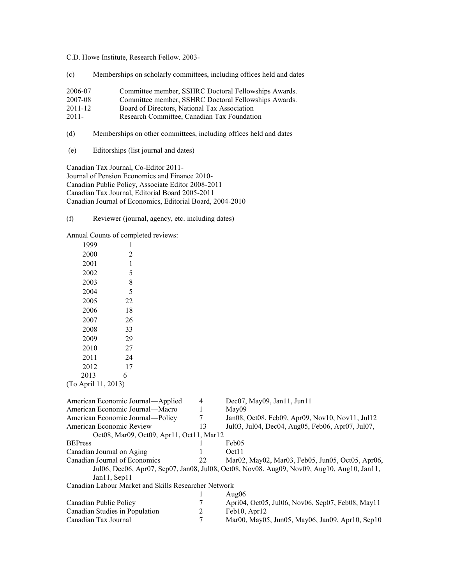C.D. Howe Institute, Research Fellow. 2003-

(c) Memberships on scholarly committees, including offices held and dates

| 2006-07  | Committee member, SSHRC Doctoral Fellowships Awards. |
|----------|------------------------------------------------------|
| 2007-08  | Committee member, SSHRC Doctoral Fellowships Awards. |
| 2011-12  | Board of Directors, National Tax Association         |
| $2011 -$ | Research Committee, Canadian Tax Foundation          |

- (d) Memberships on other committees, including offices held and dates
- (e) Editorships (list journal and dates)

Canadian Tax Journal, Co-Editor 2011- Journal of Pension Economics and Finance 2010- Canadian Public Policy, Associate Editor 2008-2011 Canadian Tax Journal, Editorial Board 2005-2011 Canadian Journal of Economics, Editorial Board, 2004-2010

(f) Reviewer (journal, agency, etc. including dates)

Annual Counts of completed reviews:

| 1999                             | 1                                                    |                |                                                                                                                                                |
|----------------------------------|------------------------------------------------------|----------------|------------------------------------------------------------------------------------------------------------------------------------------------|
| 2000                             | 2                                                    |                |                                                                                                                                                |
| 2001                             | 1                                                    |                |                                                                                                                                                |
| 2002                             | 5                                                    |                |                                                                                                                                                |
| 2003                             | 8                                                    |                |                                                                                                                                                |
| 2004                             | 5                                                    |                |                                                                                                                                                |
| 2005                             | 22                                                   |                |                                                                                                                                                |
| 2006                             | 18                                                   |                |                                                                                                                                                |
| 2007                             | 26                                                   |                |                                                                                                                                                |
| 2008                             | 33                                                   |                |                                                                                                                                                |
| 2009                             | 29                                                   |                |                                                                                                                                                |
| 2010                             | 27                                                   |                |                                                                                                                                                |
| 2011                             | 24                                                   |                |                                                                                                                                                |
| 2012                             | 17                                                   |                |                                                                                                                                                |
| 2013                             | 6                                                    |                |                                                                                                                                                |
| (To April 11, 2013)              |                                                      |                |                                                                                                                                                |
|                                  | American Economic Journal—Applied                    | 4              | Dec07, May09, Jan11, Jun11                                                                                                                     |
|                                  | American Economic Journal—Macro                      | $\mathbf{1}$   | May09                                                                                                                                          |
| American Economic Journal-Policy |                                                      | $\overline{7}$ | Jan08, Oct08, Feb09, Apr09, Nov10, Nov11, Jul12                                                                                                |
| American Economic Review         |                                                      | 13             | Jul03, Jul04, Dec04, Aug05, Feb06, Apr07, Jul07,                                                                                               |
|                                  | Oct08, Mar09, Oct09, Apr11, Oct11, Mar12             |                |                                                                                                                                                |
| <b>BEPress</b>                   |                                                      |                | Feb05                                                                                                                                          |
| Canadian Journal on Aging        |                                                      | 22             | Oct11                                                                                                                                          |
| Canadian Journal of Economics    |                                                      |                | Mar02, May02, Mar03, Feb05, Jun05, Oct05, Apr06,<br>Jul06, Dec06, Apr07, Sep07, Jan08, Jul08, Oct08, Nov08. Aug09, Nov09, Aug10, Aug10, Jan11, |
|                                  | Jan11, Sep11                                         |                |                                                                                                                                                |
|                                  | Canadian Labour Market and Skills Researcher Network |                |                                                                                                                                                |
|                                  |                                                      | 1              | Aug $06$                                                                                                                                       |
| Canadian Public Policy           |                                                      | 7              | Apri04, Oct05, Jul06, Nov06, Sep07, Feb08, May11                                                                                               |
| Canadian Studies in Population   |                                                      | $\overline{2}$ | Feb10, Apr12                                                                                                                                   |
| Canadian Tax Journal             |                                                      | 7              | Mar00, May05, Jun05, May06, Jan09, Apr10, Sep10                                                                                                |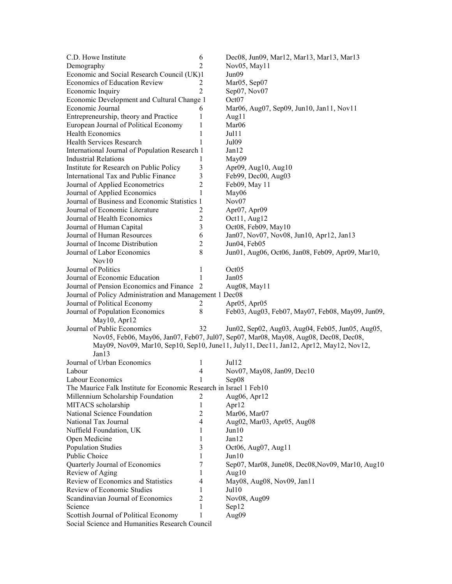| C.D. Howe Institute                                                | 6              | Dec08, Jun09, Mar12, Mar13, Mar13, Mar13                                              |  |  |  |
|--------------------------------------------------------------------|----------------|---------------------------------------------------------------------------------------|--|--|--|
| Demography                                                         | $\overline{c}$ | Nov05, May11                                                                          |  |  |  |
| Economic and Social Research Council (UK)1                         |                | Jun09                                                                                 |  |  |  |
| Economics of Education Review                                      | 2              | Mar05, Sep07                                                                          |  |  |  |
| Economic Inquiry                                                   | $\overline{2}$ | Sep07, Nov07                                                                          |  |  |  |
| Economic Development and Cultural Change 1                         |                | Oct <sub>07</sub>                                                                     |  |  |  |
| Economic Journal                                                   | 6              | Mar06, Aug07, Sep09, Jun10, Jan11, Nov11                                              |  |  |  |
| Entrepreneurship, theory and Practice                              | 1              | Aug11                                                                                 |  |  |  |
| European Journal of Political Economy                              | 1              | Mar <sub>06</sub>                                                                     |  |  |  |
| <b>Health Economics</b>                                            | 1              | Jul11                                                                                 |  |  |  |
| <b>Health Services Research</b>                                    | $\mathbf{1}$   | Jul <sub>09</sub>                                                                     |  |  |  |
| International Journal of Population Research 1                     |                | Jan12                                                                                 |  |  |  |
| <b>Industrial Relations</b>                                        | 1              | May09                                                                                 |  |  |  |
| Institute for Research on Public Policy                            | $\mathfrak{Z}$ | Apr09, Aug10, Aug10                                                                   |  |  |  |
| International Tax and Public Finance                               | 3              | Feb99, Dec00, Aug03                                                                   |  |  |  |
| Journal of Applied Econometrics                                    | $\overline{2}$ | Feb09, May 11                                                                         |  |  |  |
| Journal of Applied Economics                                       | 1              | May06                                                                                 |  |  |  |
| Journal of Business and Economic Statistics 1                      |                | Nov <sub>07</sub>                                                                     |  |  |  |
| Journal of Economic Literature                                     | 2              | Apr07, Apr09                                                                          |  |  |  |
| Journal of Health Economics                                        | $\mathfrak{2}$ | Oct11, Aug12                                                                          |  |  |  |
| Journal of Human Capital                                           | 3              | Oct08, Feb09, May10                                                                   |  |  |  |
| Journal of Human Resources                                         | 6              | Jan07, Nov07, Nov08, Jun10, Apr12, Jan13                                              |  |  |  |
| Journal of Income Distribution                                     | $\overline{2}$ | Jun04, Feb05                                                                          |  |  |  |
| Journal of Labor Economics                                         | 8              | Jun01, Aug06, Oct06, Jan08, Feb09, Apr09, Mar10,                                      |  |  |  |
| Nov10                                                              |                |                                                                                       |  |  |  |
| Journal of Politics                                                | 1              | Oct <sub>05</sub>                                                                     |  |  |  |
| Journal of Economic Education                                      | 1              | Jan05                                                                                 |  |  |  |
| Journal of Pension Economics and Finance                           | 2              | Aug08, May11                                                                          |  |  |  |
| Journal of Policy Administration and Management 1 Dec08            |                |                                                                                       |  |  |  |
| Journal of Political Economy                                       | 2              | Apr <sub>05</sub> , Apr <sub>05</sub>                                                 |  |  |  |
| Journal of Population Economics                                    | 8              | Feb03, Aug03, Feb07, May07, Feb08, May09, Jun09,                                      |  |  |  |
| May10, Apr12                                                       |                |                                                                                       |  |  |  |
| Journal of Public Economics                                        | 32             | Jun02, Sep02, Aug03, Aug04, Feb05, Jun05, Aug05,                                      |  |  |  |
|                                                                    |                | Nov05, Feb06, May06, Jan07, Feb07, Jul07, Sep07, Mar08, May08, Aug08, Dec08, Dec08,   |  |  |  |
|                                                                    |                | May09, Nov09, Mar10, Sep10, Sep10, June11, July11, Dec11, Jan12, Apr12, May12, Nov12, |  |  |  |
| Jan13                                                              |                |                                                                                       |  |  |  |
| Journal of Urban Economics                                         | 1              | Jul12                                                                                 |  |  |  |
| Labour                                                             | 4              | Nov07, May08, Jan09, Dec10                                                            |  |  |  |
| Labour Economics                                                   | 1              | Sep08                                                                                 |  |  |  |
| The Maurice Falk Institute for Economic Research in Israel 1 Feb10 |                |                                                                                       |  |  |  |
| Millennium Scholarship Foundation                                  | 2              | Aug06, Apr12                                                                          |  |  |  |
| MITACS scholarship                                                 | 1              | Apr12                                                                                 |  |  |  |
| National Science Foundation                                        | $\overline{2}$ | Mar06, Mar07                                                                          |  |  |  |
| National Tax Journal                                               | 4              | Aug02, Mar03, Apr05, Aug08                                                            |  |  |  |
| Nuffield Foundation, UK                                            | 1              | Jun10                                                                                 |  |  |  |
| Open Medicine                                                      | 1              | Jan12                                                                                 |  |  |  |
| <b>Population Studies</b>                                          | 3              | Oct06, Aug07, Aug11                                                                   |  |  |  |
| Public Choice                                                      | 1              | Jun10                                                                                 |  |  |  |
| Quarterly Journal of Economics                                     | 7              | Sep07, Mar08, June08, Dec08, Nov09, Mar10, Aug10                                      |  |  |  |
| Review of Aging                                                    | 1              | Aug $10$                                                                              |  |  |  |
| Review of Economics and Statistics                                 | 4              | May08, Aug08, Nov09, Jan11                                                            |  |  |  |
| Review of Economic Studies                                         | 1              | Jul <sub>10</sub>                                                                     |  |  |  |
| Scandinavian Journal of Economics                                  | $\overline{2}$ | Nov08, Aug09                                                                          |  |  |  |
| Science                                                            | 1              | Sep12                                                                                 |  |  |  |
| Scottish Journal of Political Economy                              | 1              | Aug09                                                                                 |  |  |  |
| Social Science and Humanities Research Council                     |                |                                                                                       |  |  |  |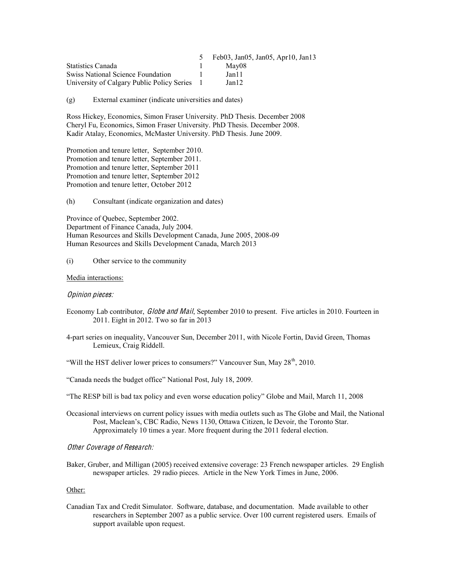|                                            | Feb03, Jan05, Jan05, Apr10, Jan13 |
|--------------------------------------------|-----------------------------------|
| <b>Statistics Canada</b>                   | May08                             |
| <b>Swiss National Science Foundation</b>   | Janll                             |
| University of Calgary Public Policy Series | Jan 12                            |

(g) External examiner (indicate universities and dates)

Ross Hickey, Economics, Simon Fraser University. PhD Thesis. December 2008 Cheryl Fu, Economics, Simon Fraser University. PhD Thesis. December 2008. Kadir Atalay, Economics, McMaster University. PhD Thesis. June 2009.

Promotion and tenure letter, September 2010. Promotion and tenure letter, September 2011. Promotion and tenure letter, September 2011 Promotion and tenure letter, September 2012 Promotion and tenure letter, October 2012

(h) Consultant (indicate organization and dates)

Province of Quebec, September 2002. Department of Finance Canada, July 2004. Human Resources and Skills Development Canada, June 2005, 2008-09 Human Resources and Skills Development Canada, March 2013

#### (i) Other service to the community

#### Media interactions:

#### Opinion pieces:

- Economy Lab contributor, *Globe and Mail*, September 2010 to present. Five articles in 2010. Fourteen in 2011. Eight in 2012. Two so far in 2013
- 4-part series on inequality, Vancouver Sun, December 2011, with Nicole Fortin, David Green, Thomas Lemieux, Craig Riddell.
- "Will the HST deliver lower prices to consumers?" Vancouver Sun, May 28<sup>th</sup>, 2010.

"Canada needs the budget office" National Post, July 18, 2009.

"The RESP bill is bad tax policy and even worse education policy" Globe and Mail, March 11, 2008

Occasional interviews on current policy issues with media outlets such as The Globe and Mail, the National Post, Maclean's, CBC Radio, News 1130, Ottawa Citizen, le Devoir, the Toronto Star. Approximately 10 times a year. More frequent during the 2011 federal election.

Othe<sup>r</sup> Coverag<sup>e</sup> <sup>o</sup>f Research:

Baker, Gruber, and Milligan (2005) received extensive coverage: 23 French newspaper articles. 29 English newspaper articles. 29 radio pieces. Article in the New York Times in June, 2006.

#### Other:

Canadian Tax and Credit Simulator. Software, database, and documentation. Made available to other researchers in September 2007 as a public service. Over 100 current registered users. Emails of support available upon request.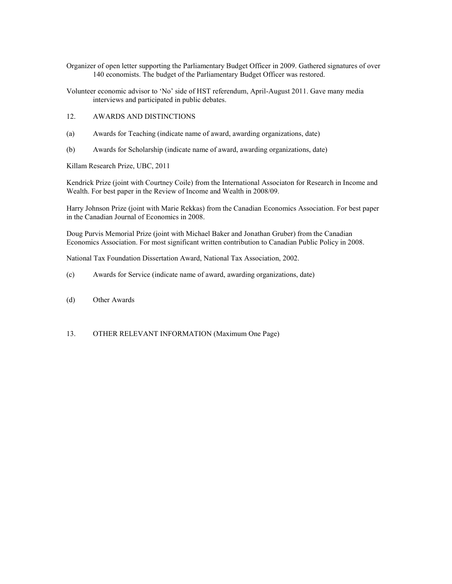- Organizer of open letter supporting the Parliamentary Budget Officer in 2009. Gathered signatures of over 140 economists. The budget of the Parliamentary Budget Officer was restored.
- Volunteer economic advisor to 'No' side of HST referendum, April-August 2011. Gave many media interviews and participated in public debates.
- 12. AWARDS AND DISTINCTIONS
- (a) Awards for Teaching (indicate name of award, awarding organizations, date)
- (b) Awards for Scholarship (indicate name of award, awarding organizations, date)

Killam Research Prize, UBC, 2011

Kendrick Prize (joint with Courtney Coile) from the International Associaton for Research in Income and Wealth. For best paper in the Review of Income and Wealth in 2008/09.

Harry Johnson Prize (joint with Marie Rekkas) from the Canadian Economics Association. For best paper in the Canadian Journal of Economics in 2008.

Doug Purvis Memorial Prize (joint with Michael Baker and Jonathan Gruber) from the Canadian Economics Association. For most significant written contribution to Canadian Public Policy in 2008.

National Tax Foundation Dissertation Award, National Tax Association, 2002.

- (c) Awards for Service (indicate name of award, awarding organizations, date)
- (d) Other Awards
- 13. OTHER RELEVANT INFORMATION (Maximum One Page)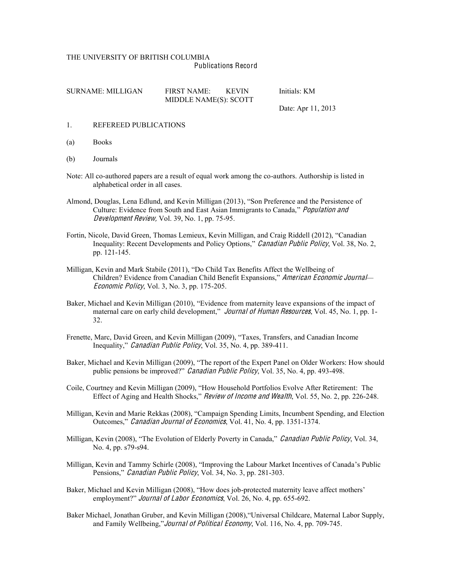#### THE UNIVERSITY OF BRITISH COLUMBIA Publications Record

| SURNAME: MILLIGAN | <b>FIRST NAME:</b>    | <b>KEVIN</b> | Initials: KM |
|-------------------|-----------------------|--------------|--------------|
|                   | MIDDLE NAME(S): SCOTT |              |              |

Date: Apr 11, 2013

#### 1. REFEREED PUBLICATIONS

- (a) Books
- (b) Journals
- Note: All co-authored papers are a result of equal work among the co-authors. Authorship is listed in alphabetical order in all cases.
- Almond, Douglas, Lena Edlund, and Kevin Milligan (2013), "Son Preference and the Persistence of Culture: Evidence from South and East Asian Immigrants to Canada," *Population and* Dev<sup>e</sup>lopmen<sup>t</sup> Review, Vol. 39, No. 1, pp. 75-95.
- Fortin, Nicole, David Green, Thomas Lemieux, Kevin Milligan, and Craig Riddell (2012), "Canadian Inequality: Recent Developments and Policy Options," Canadian Public Policy, Vol. 38, No. 2, pp. 121-145.
- Milligan, Kevin and Mark Stabile (2011), "Do Child Tax Benefits Affect the Wellbeing of Children? Evidence from Canadian Child Benefit Expansions," American Economic Journal— Economi<sup>c</sup> Policy, Vol. 3, No. 3, pp. 175-205.
- Baker, Michael and Kevin Milligan (2010), "Evidence from maternity leave expansions of the impact of maternal care on early child development," *Journal of Human Resources*, Vol. 45, No. 1, pp. 1-32.
- Frenette, Marc, David Green, and Kevin Milligan (2009), "Taxes, Transfers, and Canadian Income Inequality," Canadian Public Policy, Vol. 35, No. 4, pp. 389-411.
- Baker, Michael and Kevin Milligan (2009), "The report of the Expert Panel on Older Workers: How should public pensions be improved?" *Canadian Public Policy*, Vol. 35, No. 4, pp. 493-498.
- Coile, Courtney and Kevin Milligan (2009), "How Household Portfolios Evolve After Retirement: The Effect of Aging and Health Shocks," Review of Income and Wealth, Vol. 55, No. 2, pp. 226-248.
- Milligan, Kevin and Marie Rekkas (2008), "Campaign Spending Limits, Incumbent Spending, and Election Outcomes," Canadian Journal of Economics, Vol. 41, No. 4, pp. 1351-1374.
- Milligan, Kevin (2008), "The Evolution of Elderly Poverty in Canada," Canadian Public Policy, Vol. 34, No. 4, pp. s79-s94.
- Milligan, Kevin and Tammy Schirle (2008), "Improving the Labour Market Incentives of Canada's Public Pensions," *Canadian Public Policy*, Vol. 34, No. 3, pp. 281-303.
- Baker, Michael and Kevin Milligan (2008), "How does job-protected maternity leave affect mothers' employment?" Journal of Labor Economics, Vol. 26, No. 4, pp. 655-692.
- Baker Michael, Jonathan Gruber, and Kevin Milligan (2008), "Universal Childcare, Maternal Labor Supply, and Family Wellbeing," Journal of Political Economy, Vol. 116, No. 4, pp. 709-745.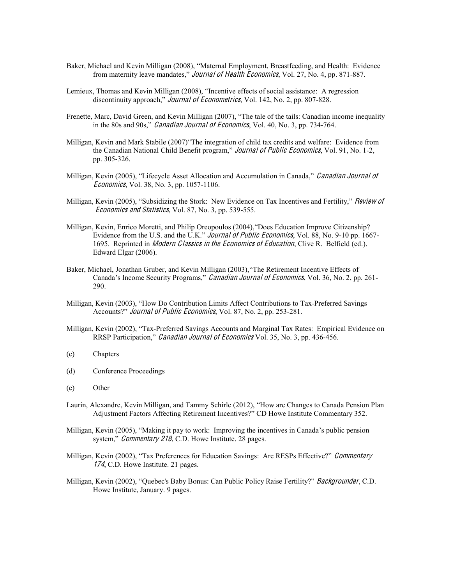- Baker, Michael and Kevin Milligan (2008), "Maternal Employment, Breastfeeding, and Health: Evidence from maternity leave mandates," *Journal of Health Economics*, Vol. 27, No. 4, pp. 871-887.
- Lemieux, Thomas and Kevin Milligan (2008), "Incentive effects of social assistance: A regression discontinuity approach," *Journal of Econometrics*, Vol. 142, No. 2, pp. 807-828.
- Frenette, Marc, David Green, and Kevin Milligan (2007), "The tale of the tails: Canadian income inequality in the 80s and 90s," Canadian Journal of Economics, Vol. 40, No. 3, pp. 734-764.
- Milligan, Kevin and Mark Stabile (2007)"The integration of child tax credits and welfare: Evidence from the Canadian National Child Benefit program," Journal of Public Economics, Vol. 91, No. 1-2, pp. 305-326.
- Milligan, Kevin (2005), "Lifecycle Asset Allocation and Accumulation in Canada," Canadian Journal of Economic<sup>s</sup>, Vol. 38, No. 3, pp. 1057-1106.
- Milligan, Kevin (2005), "Subsidizing the Stork: New Evidence on Tax Incentives and Fertility," Review of Economic<sup>s</sup> and Statistic<sup>s</sup>, Vol. 87, No. 3, pp. 539-555.
- Milligan, Kevin, Enrico Moretti, and Philip Oreopoulos (2004), "Does Education Improve Citizenship? Evidence from the U.S. and the U.K." *Journal of Public Economics*, Vol. 88, No. 9-10 pp. 1667-1695. Reprinted in *Modern Classics in the Economics of Education*, Clive R. Belfield (ed.). Edward Elgar (2006).
- Baker, Michael, Jonathan Gruber, and Kevin Milligan (2003), "The Retirement Incentive Effects of Canada's Income Security Programs," Canadian Journal of Economics, Vol. 36, No. 2, pp. 261-290.
- Milligan, Kevin (2003), "How Do Contribution Limits Affect Contributions to Tax-Preferred Savings Accounts?" Journal of Public Economics, Vol. 87, No. 2, pp. 253-281.
- Milligan, Kevin (2002), "Tax-Preferred Savings Accounts and Marginal Tax Rates: Empirical Evidence on RRSP Participation," Canadian Journal of Economics Vol. 35, No. 3, pp. 436-456.
- (c) Chapters
- (d) Conference Proceedings
- (e) Other
- Laurin, Alexandre, Kevin Milligan, and Tammy Schirle (2012), "How are Changes to Canada Pension Plan Adjustment Factors Affecting Retirement Incentives?" CD Howe Institute Commentary 352.
- Milligan, Kevin (2005), "Making it pay to work: Improving the incentives in Canada's public pension system," Commentary 218, C.D. Howe Institute. 28 pages.
- Milligan, Kevin (2002), "Tax Preferences for Education Savings: Are RESPs Effective?" Commentary 174, C.D. Howe Institute. 21 pages.
- Milligan, Kevin (2002), "Quebec's Baby Bonus: Can Public Policy Raise Fertility?" *Backgrounder*, C.D. Howe Institute, January. 9 pages.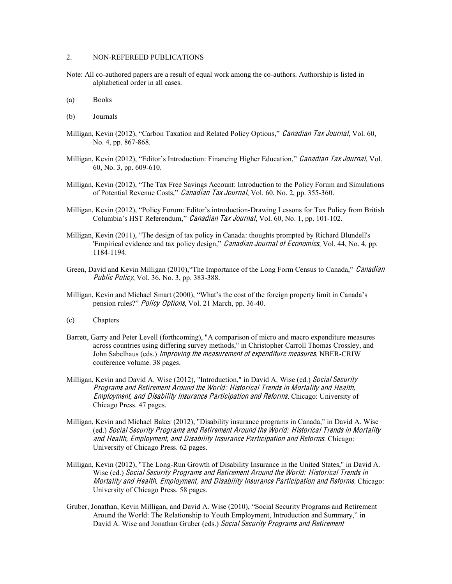## 2. NON-REFEREED PUBLICATIONS

- Note: All co-authored papers are a result of equal work among the co-authors. Authorship is listed in alphabetical order in all cases.
- (a) Books
- (b) Journals
- Milligan, Kevin (2012), "Carbon Taxation and Related Policy Options," Canadian Tax Journal, Vol. 60, No. 4, pp. 867-868.
- Milligan, Kevin (2012), "Editor's Introduction: Financing Higher Education," Canadian Tax Journal, Vol. 60, No. 3, pp. 609-610.
- Milligan, Kevin (2012), "The Tax Free Savings Account: Introduction to the Policy Forum and Simulations of Potential Revenue Costs." Canadian Tax Journal, Vol. 60, No. 2, pp. 355-360.
- Milligan, Kevin (2012), "Policy Forum: Editor's introduction-Drawing Lessons for Tax Policy from British Columbia's HST Referendum," Canadian Tax Journal, Vol. 60, No. 1, pp. 101-102.
- Milligan, Kevin (2011), "The design of tax policy in Canada: thoughts prompted by Richard Blundell's l Empirical evidence and tax policy design," Canadian Journal of Economics, Vol. 44, No. 4, pp. 1184-1194.
- Green, David and Kevin Milligan (2010), "The Importance of the Long Form Census to Canada," *Canadian* Publi<sup>c</sup> Policy, Vol. 36, No. 3, pp. 383-388.
- Milligan, Kevin and Michael Smart (2000), "What's the cost of the foreign property limit in Canada's pension rules?" *Policy Options*, Vol. 21 March, pp. 36-40.
- (c) Chapters
- Barrett, Garry and Peter Levell (forthcoming), "A comparison of micro and macro expenditure measures across countries using differing survey methods," in Christopher Carroll Thomas Crossley, and John Sabelhaus (eds.) *Improving the measurement of expenditure measures*. NBER-CRIW conference volume. 38 pages.
- Milligan, Kevin and David A. Wise (2012), "Introduction," in David A. Wise (ed.) Social Security Program<sup>s</sup> and Retirement Around th<sup>e</sup> World: Historical Trend<sup>s</sup> in Mortality and Health, Employment, and Disability Insurance Participation and Reform<sup>s</sup>. Chicago: University of Chicago Press. 47 pages.
- Milligan, Kevin and Michael Baker (2012), "Disability insurance programs in Canada," in David A. Wise (ed.) Social Security Program<sup>s</sup> and Retiremen<sup>t</sup> Around <sup>t</sup>h<sup>e</sup> World: Historical Trend<sup>s</sup> in Mortality and Health, Employment, and Disability Insurance Participation and Reform<sup>s</sup>. Chicago: University of Chicago Press. 62 pages.
- Milligan, Kevin (2012), "The Long-Run Growth of Disability Insurance in the United States," in David A. Wise (ed.) Social Security Program<sup>s</sup> and Retiremen<sup>t</sup> Around <sup>t</sup>h<sup>e</sup> World: Historical Trend<sup>s</sup> in Mortality and Health, Employment, and Disability Insurance Participation and Reform<sup>s</sup>. Chicago: University of Chicago Press. 58 pages.
- Gruber, Jonathan, Kevin Milligan, and David A. Wise (2010), "Social Security Programs and Retirement Around the World: The Relationship to Youth Employment, Introduction and Summary," in David A. Wise and Jonathan Gruber (eds.) Social Security Programs and Retirement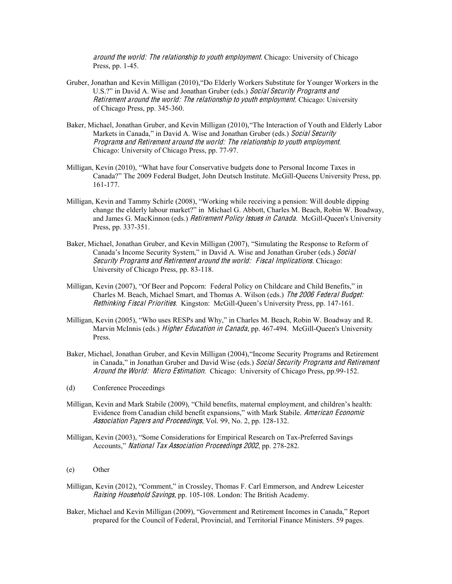around <sup>t</sup>h<sup>e</sup> world: Th<sup>e</sup> <sup>r</sup>elationship <sup>t</sup><sup>o</sup> youth <sup>e</sup>mploymen<sup>t</sup>. Chicago: University of Chicago Press, pp. 1-45.

- Gruber, Jonathan and Kevin Milligan (2010), "Do Elderly Workers Substitute for Younger Workers in the U.S.?" in David A. Wise and Jonathan Gruber (eds.) Social Security Programs and Retiremen<sup>t</sup> around <sup>t</sup>h<sup>e</sup> world: Th<sup>e</sup> <sup>r</sup>elationship <sup>t</sup><sup>o</sup> youth <sup>e</sup>mploymen<sup>t</sup>. Chicago: University of Chicago Press, pp. 345-360.
- Baker, Michael, Jonathan Gruber, and Kevin Milligan (2010), "The Interaction of Youth and Elderly Labor Markets in Canada," in David A. Wise and Jonathan Gruber (eds.) Social Security Program<sup>s</sup> and Retiremen<sup>t</sup> around <sup>t</sup>h<sup>e</sup> world: Th<sup>e</sup> <sup>r</sup>elationship <sup>t</sup><sup>o</sup> youth <sup>e</sup>mploymen<sup>t</sup>. Chicago: University of Chicago Press, pp. 77-97.
- Milligan, Kevin (2010), "What have four Conservative budgets done to Personal Income Taxes in Canada?" The 2009 Federal Budget, John Deutsch Institute. McGill-Queens University Press, pp. 161-177.
- Milligan, Kevin and Tammy Schirle (2008), "Working while receiving a pension: Will double dipping change the elderly labour market?" in Michael G. Abbott, Charles M. Beach, Robin W. Boadway, and James G. MacKinnon (eds.) Retirement Policy Issues in Canada. McGill-Queen's University Press, pp. 337-351.
- Baker, Michael, Jonathan Gruber, and Kevin Milligan (2007), "Simulating the Response to Reform of Canada's Income Security System," in David A. Wise and Jonathan Gruber (eds.) Social Security Programs and Retirement around the world: Fiscal Implications. Chicago: University of Chicago Press, pp. 83-118.
- Milligan, Kevin (2007), "Of Beer and Popcorn: Federal Policy on Childcare and Child Benefits," in Charles M. Beach, Michael Smart, and Thomas A. Wilson (eds.) Th<sup>e</sup> 2006 Federal Budget: Rethinking Fiscal Priorities. Kingston: McGill-Queen's University Press, pp. 147-161.
- Milligan, Kevin (2005), "Who uses RESPs and Why," in Charles M. Beach, Robin W. Boadway and R. Marvin McInnis (eds.) *Higher Education in Canada*, pp. 467-494. McGill-Queen's University Press.
- Baker, Michael, Jonathan Gruber, and Kevin Milligan (2004), "Income Security Programs and Retirement in Canada," in Jonathan Gruber and David Wise (eds.) Social Security Programs and Retirement Around the World: Micro Estimation. Chicago: University of Chicago Press, pp.99-152.
- (d) Conference Proceedings
- Milligan, Kevin and Mark Stabile (2009), "Child benefits, maternal employment, and children's health: Evidence from Canadian child benefit expansions," with Mark Stabile. American Economic Association Pap<sup>e</sup>r<sup>s</sup> and Proceedings, Vol. 99, No. 2, pp. 128-132.
- Milligan, Kevin (2003), "Some Considerations for Empirical Research on Tax-Preferred Savings Accounts," National Tax Association Proceedings 2002, pp. 278-282.
- (e) Other
- Milligan, Kevin (2012), "Comment," in Crossley, Thomas F. Carl Emmerson, and Andrew Leicester Raising Household Savings, pp. 105-108. London: The British Academy.
- Baker, Michael and Kevin Milligan (2009), "Government and Retirement Incomes in Canada," Report prepared for the Council of Federal, Provincial, and Territorial Finance Ministers. 59 pages.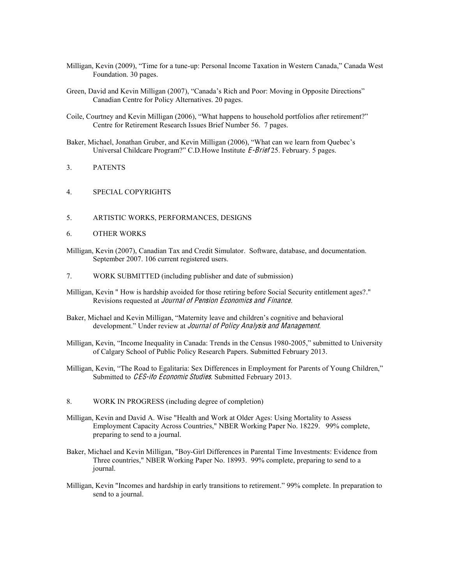- Milligan, Kevin (2009), "Time for a tune-up: Personal Income Taxation in Western Canada," Canada West Foundation. 30 pages.
- Green, David and Kevin Milligan (2007), "Canada's Rich and Poor: Moving in Opposite Directions" Canadian Centre for Policy Alternatives. 20 pages.
- Coile, Courtney and Kevin Milligan (2006), "What happens to household portfolios after retirement?" Centre for Retirement Research Issues Brief Number 56. 7 pages.
- Baker, Michael, Jonathan Gruber, and Kevin Milligan (2006), "What can we learn from Quebec's Universal Childcare Program?" C.D.Howe Institute E-Brief 25. February. 5 pages.
- 3. PATENTS
- 4. SPECIAL COPYRIGHTS
- 5. ARTISTIC WORKS, PERFORMANCES, DESIGNS
- 6. OTHER WORKS
- Milligan, Kevin (2007), Canadian Tax and Credit Simulator. Software, database, and documentation. September 2007. 106 current registered users.
- 7. WORK SUBMITTED (including publisher and date of submission)
- Milligan, Kevin " How is hardship avoided for those retiring before Social Security entitlement ages?." Revisions requested at Journal <sup>o</sup>f Pension Economic<sup>s</sup> and Finance.
- Baker, Michael and Kevin Milligan, "Maternity leave and children's cognitive and behavioral development." Under review at *Journal of Policy Analysis and Management*.
- Milligan, Kevin, "Income Inequality in Canada: Trends in the Census 1980-2005," submitted to University of Calgary School of Public Policy Research Papers. Submitted February 2013.
- Milligan, Kevin, "The Road to Egalitaria: Sex Differences in Employment for Parents of Young Children," Submitted to CES-ifo Economic Studies. Submitted February 2013.
- 8. WORK IN PROGRESS (including degree of completion)
- Milligan, Kevin and David A. Wise "Health and Work at Older Ages: Using Mortality to Assess Employment Capacity Across Countries," NBER Working Paper No. 18229. 99% complete, preparing to send to a journal.
- Baker, Michael and Kevin Milligan, "Boy-Girl Differences in Parental Time Investments: Evidence from Three countries," NBER Working Paper No. 18993. 99% complete, preparing to send to a journal.
- Milligan, Kevin "Incomes and hardship in early transitions to retirement." 99% complete. In preparation to send to a journal.